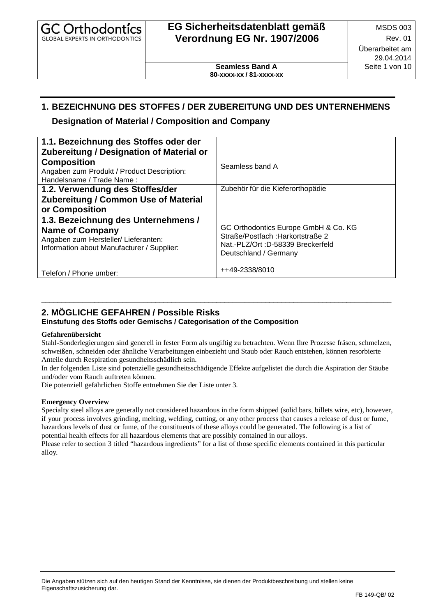| <b>GC Orthodontics</b><br><b>GLOBAL EXPERTS IN ORTHODONTICS</b> | EG Sicherheitsdatenblatt gemäß<br><b>Verordnung EG Nr. 1907/2006</b> | <b>MSDS 003</b><br>Rev. 01<br>Überarbeitet am<br>29.04.2014 |  |
|-----------------------------------------------------------------|----------------------------------------------------------------------|-------------------------------------------------------------|--|
|                                                                 | <b>Seamless Band A</b><br>80-xxxx-xx / 81-xxxx-xx                    | Seite 1 von 10                                              |  |

## **1. BEZEICHNUNG DES STOFFES / DER ZUBEREITUNG UND DES UNTERNEHMENS**

### **Designation of Material / Composition and Company**

| 1.1. Bezeichnung des Stoffes oder der<br><b>Zubereitung / Designation of Material or</b>                                                            |                                                                                                                                        |
|-----------------------------------------------------------------------------------------------------------------------------------------------------|----------------------------------------------------------------------------------------------------------------------------------------|
| <b>Composition</b><br>Angaben zum Produkt / Product Description:<br>Handelsname / Trade Name:                                                       | Seamless band A                                                                                                                        |
| 1.2. Verwendung des Stoffes/der<br><b>Zubereitung / Common Use of Material</b><br>or Composition                                                    | Zubehör für die Kieferorthopädie                                                                                                       |
| 1.3. Bezeichnung des Unternehmens /<br><b>Name of Company</b><br>Angaben zum Hersteller/ Lieferanten:<br>Information about Manufacturer / Supplier: | GC Orthodontics Europe GmbH & Co. KG<br>Straße/Postfach: Harkortstraße 2<br>Nat.-PLZ/Ort: D-58339 Breckerfeld<br>Deutschland / Germany |
| Telefon / Phone umber:                                                                                                                              | ++49-2338/8010                                                                                                                         |

## **2. MÖGLICHE GEFAHREN / Possible Risks**

#### **Einstufung des Stoffs oder Gemischs / Categorisation of the Composition**

#### **Gefahrenübersicht**

Stahl-Sonderlegierungen sind generell in fester Form als ungiftig zu betrachten. Wenn Ihre Prozesse fräsen, schmelzen, schweißen, schneiden oder ähnliche Verarbeitungen einbezieht und Staub oder Rauch entstehen, können resorbierte Anteile durch Respiration gesundheitsschädlich sein.

\_\_\_\_\_\_\_\_\_\_\_\_\_\_\_\_\_\_\_\_\_\_\_\_\_\_\_\_\_\_\_\_\_\_\_\_\_\_\_\_\_\_\_\_\_\_\_\_\_\_\_\_\_\_\_\_\_\_\_\_\_\_\_\_\_\_\_\_\_\_\_\_\_\_\_\_\_\_\_\_\_\_\_\_\_\_

In der folgenden Liste sind potenzielle gesundheitsschädigende Effekte aufgelistet die durch die Aspiration der Stäube und/oder vom Rauch auftreten können.

Die potenziell gefährlichen Stoffe entnehmen Sie der Liste unter 3.

#### **Emergency Overview**

Specialty steel alloys are generally not considered hazardous in the form shipped (solid bars, billets wire, etc), however, if your process involves grinding, melting, welding, cutting, or any other process that causes a release of dust or fume, hazardous levels of dust or fume, of the constituents of these alloys could be generated. The following is a list of potential health effects for all hazardous elements that are possibly contained in our alloys.

Please refer to section 3 titled "hazardous ingredients" for a list of those specific elements contained in this particular alloy.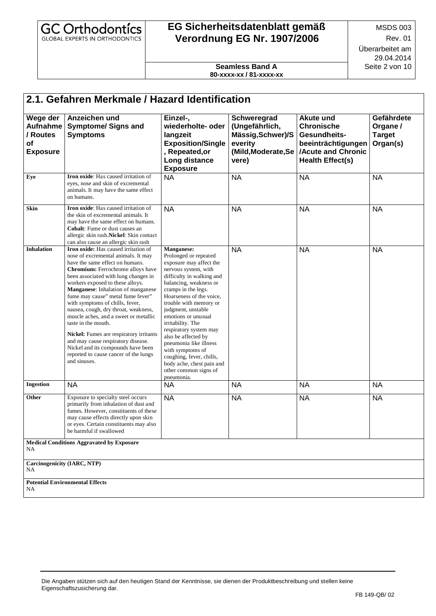| <b>GC Orthodontics</b><br><b>GLOBAL EXPERTS IN ORTHODONTICS</b> | EG Sicherheitsdatenblatt gemäß<br><b>Verordnung EG Nr. 1907/2006</b> | <b>MSDS 003</b><br><b>Rev. 01</b> |
|-----------------------------------------------------------------|----------------------------------------------------------------------|-----------------------------------|
|                                                                 |                                                                      | Überarbeitet am<br>29.04.2014     |
|                                                                 | <b>Seamless Band A</b><br>80-xxxx-xx / 81-xxxx-xx                    | Seite 2 von 10                    |

| Wege der<br>/ Routes<br>of<br><b>Exposure</b> | Anzeichen und<br>Aufnahme Symptome/ Signs and<br><b>Symptoms</b>                                                                                                                                                                                                                                                                                                                                                                                                                                                                                                                                                                             | Einzel-,<br>wiederholte- oder<br>langzeit<br><b>Exposition/Single</b><br>, Repeated, or<br>Long distance<br><b>Exposure</b>                                                                                                                                                                                                                                                                                                                                                                 | Schweregrad<br>(Ungefährlich,<br>Mässig, Schwer)/S<br>everity<br>(Mild, Moderate, Se<br>vere) | <b>Akute und</b><br><b>Chronische</b><br>Gesundheits-<br>beeinträchtigungen<br>/Acute and Chronic<br><b>Health Effect(s)</b> | Gefährdete<br>Organe /<br><b>Target</b><br>Organ(s) |
|-----------------------------------------------|----------------------------------------------------------------------------------------------------------------------------------------------------------------------------------------------------------------------------------------------------------------------------------------------------------------------------------------------------------------------------------------------------------------------------------------------------------------------------------------------------------------------------------------------------------------------------------------------------------------------------------------------|---------------------------------------------------------------------------------------------------------------------------------------------------------------------------------------------------------------------------------------------------------------------------------------------------------------------------------------------------------------------------------------------------------------------------------------------------------------------------------------------|-----------------------------------------------------------------------------------------------|------------------------------------------------------------------------------------------------------------------------------|-----------------------------------------------------|
| Eye                                           | Iron oxide: Has caused irritation of<br>eyes, nose and skin of excremental<br>animals. It may have the same effect<br>on humans.                                                                                                                                                                                                                                                                                                                                                                                                                                                                                                             | <b>NA</b>                                                                                                                                                                                                                                                                                                                                                                                                                                                                                   | <b>NA</b>                                                                                     | <b>NA</b>                                                                                                                    | <b>NA</b>                                           |
| Skin                                          | <b>Iron oxide:</b> Has caused irritation of<br>the skin of excremental animals. It<br>may have the same effect on humans.<br><b>Cobalt:</b> Fume or dust causes an<br>allergic skin rash.Nickel: Skin contact<br>can also cause an allergic skin rash                                                                                                                                                                                                                                                                                                                                                                                        | <b>NA</b>                                                                                                                                                                                                                                                                                                                                                                                                                                                                                   | <b>NA</b>                                                                                     | <b>NA</b>                                                                                                                    | <b>NA</b>                                           |
| <b>Inhalation</b>                             | <b>Iron oxide:</b> Has caused irritation of<br>nose of excremental animals. It may<br>have the same effect on humans.<br>Chromium: Ferrochrome alloys have<br>been associated with lung changes in<br>workers exposed to these alloys.<br>Manganese: Inhalation of manganese<br>fume may cause" metal fume fever"<br>with symptoms of chills, fever,<br>nausea, cough, dry throat, weakness,<br>muscle aches, and a sweet or metallic<br>taste in the mouth.<br>Nickel: Fumes are respiratory irritants<br>and may cause respiratory disease.<br>Nickel and its compounds have been<br>reported to cause cancer of the lungs<br>and sinuses. | Manganese:<br>Prolonged or repeated<br>exposure may affect the<br>nervous system, with<br>difficulty in walking and<br>balancing, weakness or<br>cramps in the legs.<br>Hoarseness of the voice.<br>trouble with memory or<br>judgment, unstable<br>emotions or unusual<br>irritability. The<br>respiratory system may<br>also be affected by<br>pneumonia like illness<br>with symptoms of<br>coughing, fever, chills,<br>body ache, chest pain and<br>other common signs of<br>pneumonia. | <b>NA</b>                                                                                     | <b>NA</b>                                                                                                                    | <b>NA</b>                                           |
| Ingestion                                     | <b>NA</b>                                                                                                                                                                                                                                                                                                                                                                                                                                                                                                                                                                                                                                    | <b>NA</b>                                                                                                                                                                                                                                                                                                                                                                                                                                                                                   | <b>NA</b>                                                                                     | <b>NA</b>                                                                                                                    | <b>NA</b>                                           |
| Other                                         | Exposure to specialty steel occurs<br>primarily from inhalation of dust and<br>fumes. However, constituents of these<br>may cause effects directly upon skin<br>or eyes. Certain constituents may also<br>be harmful if swallowed                                                                                                                                                                                                                                                                                                                                                                                                            | <b>NA</b>                                                                                                                                                                                                                                                                                                                                                                                                                                                                                   | <b>NA</b>                                                                                     | <b>NA</b>                                                                                                                    | <b>NA</b>                                           |
| NA                                            | <b>Medical Conditions Aggravated by Exposure</b>                                                                                                                                                                                                                                                                                                                                                                                                                                                                                                                                                                                             |                                                                                                                                                                                                                                                                                                                                                                                                                                                                                             |                                                                                               |                                                                                                                              |                                                     |
| <b>Carcinogenicity (IARC, NTP)</b><br>NA      |                                                                                                                                                                                                                                                                                                                                                                                                                                                                                                                                                                                                                                              |                                                                                                                                                                                                                                                                                                                                                                                                                                                                                             |                                                                                               |                                                                                                                              |                                                     |
| NA.                                           | <b>Potential Environmental Effects</b>                                                                                                                                                                                                                                                                                                                                                                                                                                                                                                                                                                                                       |                                                                                                                                                                                                                                                                                                                                                                                                                                                                                             |                                                                                               |                                                                                                                              |                                                     |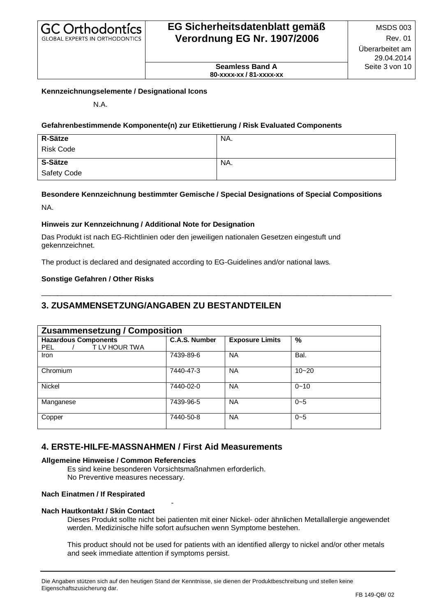**Seamless Band A 80-xxxx-xx / 81-xxxx-xx**

#### **Kennzeichnungselemente / Designational Icons**

N.A.

#### **Gefahrenbestimmende Komponente(n) zur Etikettierung / Risk Evaluated Components**

| <b>R-Sätze</b>   | NA. |
|------------------|-----|
| <b>Risk Code</b> |     |
| S-Sätze          | NA. |
| Safety Code      |     |

#### **Besondere Kennzeichnung bestimmter Gemische / Special Designations of Special Compositions**

\_\_\_\_\_\_\_\_\_\_\_\_\_\_\_\_\_\_\_\_\_\_\_\_\_\_\_\_\_\_\_\_\_\_\_\_\_\_\_\_\_\_\_\_\_\_\_\_\_\_\_\_\_\_\_\_\_\_\_\_\_\_\_\_\_\_\_\_\_\_\_\_\_\_\_\_\_\_\_\_\_\_\_\_\_\_

NA.

#### **Hinweis zur Kennzeichnung / Additional Note for Designation**

Das Produkt ist nach EG-Richtlinien oder den jeweiligen nationalen Gesetzen eingestuft und gekennzeichnet.

The product is declared and designated according to EG-Guidelines and/or national laws.

#### **Sonstige Gefahren / Other Risks**

## **3. ZUSAMMENSETZUNG/ANGABEN ZU BESTANDTEILEN**

| <b>Zusammensetzung / Composition</b>                       |               |                        |           |
|------------------------------------------------------------|---------------|------------------------|-----------|
| <b>Hazardous Components</b><br>T LV HOUR TWA<br><b>PEL</b> | C.A.S. Number | <b>Exposure Limits</b> | $\%$      |
| <b>Iron</b>                                                | 7439-89-6     | <b>NA</b>              | Bal.      |
| Chromium                                                   | 7440-47-3     | <b>NA</b>              | $10 - 20$ |
| <b>Nickel</b>                                              | 7440-02-0     | <b>NA</b>              | $0 - 10$  |
| Manganese                                                  | 7439-96-5     | <b>NA</b>              | $0 - 5$   |
| Copper                                                     | 7440-50-8     | <b>NA</b>              | $0 - 5$   |

### **4. ERSTE-HILFE-MASSNAHMEN / First Aid Measurements**

#### **Allgemeine Hinweise / Common Referencies**

Es sind keine besonderen Vorsichtsmaßnahmen erforderlich.

-

No Preventive measures necessary.

#### **Nach Einatmen / If Respirated**

#### **Nach Hautkontakt / Skin Contact**

Dieses Produkt sollte nicht bei patienten mit einer Nickel- oder ähnlichen Metallallergie angewendet werden. Medizinische hilfe sofort aufsuchen wenn Symptome bestehen.

This product should not be used for patients with an identified allergy to nickel and/or other metals and seek immediate attention if symptoms persist.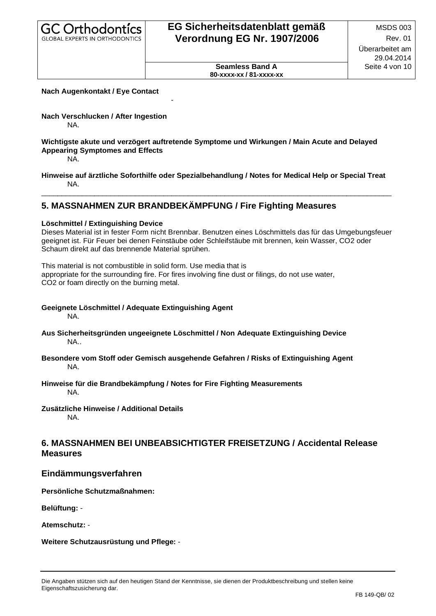**Seamless Band A 80-xxxx-xx / 81-xxxx-xx**

#### **Nach Augenkontakt / Eye Contact**

#### **Nach Verschlucken / After Ingestion**  NA.

#### **Wichtigste akute und verzögert auftretende Symptome und Wirkungen / Main Acute and Delayed Appearing Symptomes and Effects**

NA.

#### **Hinweise auf ärztliche Soforthilfe oder Spezialbehandlung / Notes for Medical Help or Special Treat**  NA.

 $\_$  ,  $\_$  ,  $\_$  ,  $\_$  ,  $\_$  ,  $\_$  ,  $\_$  ,  $\_$  ,  $\_$  ,  $\_$  ,  $\_$  ,  $\_$  ,  $\_$  ,  $\_$  ,  $\_$  ,  $\_$  ,  $\_$  ,  $\_$  ,  $\_$  ,  $\_$  ,  $\_$  ,  $\_$  ,  $\_$  ,  $\_$  ,  $\_$  ,  $\_$  ,  $\_$  ,  $\_$  ,  $\_$  ,  $\_$  ,  $\_$  ,  $\_$  ,  $\_$  ,  $\_$  ,  $\_$  ,  $\_$  ,  $\_$  ,

## **5. MASSNAHMEN ZUR BRANDBEKÄMPFUNG / Fire Fighting Measures**

-

#### **Löschmittel / Extinguishing Device**

Dieses Material ist in fester Form nicht Brennbar. Benutzen eines Löschmittels das für das Umgebungsfeuer geeignet ist. Für Feuer bei denen Feinstäube oder Schleifstäube mit brennen, kein Wasser, CO2 oder Schaum direkt auf das brennende Material sprühen.

This material is not combustible in solid form. Use media that is appropriate for the surrounding fire. For fires involving fine dust or filings, do not use water, CO2 or foam directly on the burning metal.

## **Geeignete Löschmittel / Adequate Extinguishing Agent**

NA.

- **Aus Sicherheitsgründen ungeeignete Löschmittel / Non Adequate Extinguishing Device** NA..
- **Besondere vom Stoff oder Gemisch ausgehende Gefahren / Risks of Extinguishing Agent** NA.

#### **Hinweise für die Brandbekämpfung / Notes for Fire Fighting Measurements** NA.

#### **Zusätzliche Hinweise / Additional Details**

NA.

## **6. MASSNAHMEN BEI UNBEABSICHTIGTER FREISETZUNG / Accidental Release Measures**

### **Eindämmungsverfahren**

**Persönliche Schutzmaßnahmen:**

**Belüftung:** -

**Atemschutz:** -

**Weitere Schutzausrüstung und Pflege:** -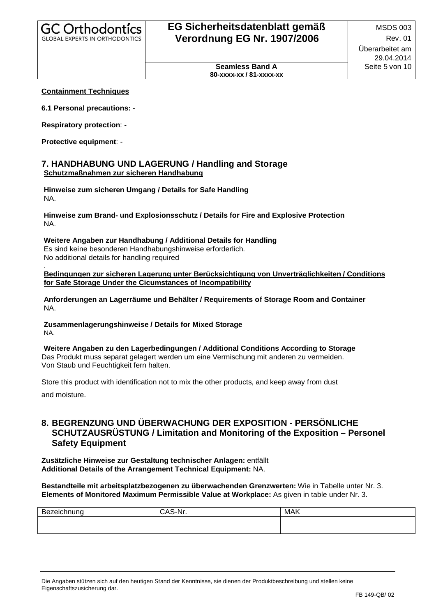**Seamless Band A 80-xxxx-xx / 81-xxxx-xx**

#### **Containment Techniques**

**6.1 Personal precautions:** -

**Respiratory protection**: -

**Protective equipment**: -

#### **7. HANDHABUNG UND LAGERUNG / Handling and Storage Schutzmaßnahmen zur sicheren Handhabung**

**Hinweise zum sicheren Umgang / Details for Safe Handling** NA.

**Hinweise zum Brand- und Explosionsschutz / Details for Fire and Explosive Protection** NA.

### **Weitere Angaben zur Handhabung / Additional Details for Handling** Es sind keine besonderen Handhabungshinweise erforderlich.

No additional details for handling required

.**Bedingungen zur sicheren Lagerung unter Berücksichtigung von Unverträglichkeiten / Conditions for Safe Storage Under the Cicumstances of Incompatibility** 

**Anforderungen an Lagerräume und Behälter / Requirements of Storage Room and Container** NA.

**Zusammenlagerungshinweise / Details for Mixed Storage** NA.

**Weitere Angaben zu den Lagerbedingungen / Additional Conditions According to Storage** Das Produkt muss separat gelagert werden um eine Vermischung mit anderen zu vermeiden. Von Staub und Feuchtigkeit fern halten.

Store this product with identification not to mix the other products, and keep away from dust and moisture.

### **8. BEGRENZUNG UND ÜBERWACHUNG DER EXPOSITION - PERSÖNLICHE SCHUTZAUSRÜSTUNG / Limitation and Monitoring of the Exposition –Personel Safety Equipment**

**Zusätzliche Hinweise zur Gestaltung technischer Anlagen:** entfällt **Additional Details of the Arrangement Technical Equipment:** NA.

**Bestandteile mit arbeitsplatzbezogenen zu überwachenden Grenzwerten:** Wie in Tabelle unter Nr. 3. **Elements of Monitored Maximum Permissible Value at Workplace:** As given in table under Nr. 3.

| D <sub>o</sub><br>--<br>.<br>ne<br>- 11<br>่าเ | $\ddot{\phantom{1}}$<br>мı | <b>MAK</b> |
|------------------------------------------------|----------------------------|------------|
|                                                |                            |            |
|                                                |                            |            |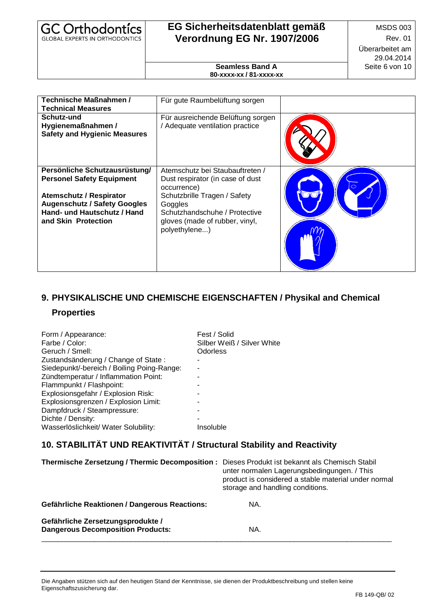| GC Orthodontics                       |  |
|---------------------------------------|--|
| <b>GLOBAL EXPERTS IN ORTHODONTICS</b> |  |

**Seamless Band A 80-xxxx-xx / 81-xxxx-xx**

| Technische Maßnahmen /<br><b>Technical Measures</b>                                                                                                                                              | Für gute Raumbelüftung sorgen                                                                                                                                                                                     |  |
|--------------------------------------------------------------------------------------------------------------------------------------------------------------------------------------------------|-------------------------------------------------------------------------------------------------------------------------------------------------------------------------------------------------------------------|--|
| Schutz-und<br>Hygienemaßnahmen /<br><b>Safety and Hygienic Measures</b>                                                                                                                          | Für ausreichende Belüftung sorgen<br>/ Adequate ventilation practice                                                                                                                                              |  |
| Persönliche Schutzausrüstung/<br><b>Personel Safety Equipment</b><br><b>Atemschutz / Respirator</b><br><b>Augenschutz / Safety Googles</b><br>Hand- und Hautschutz / Hand<br>and Skin Protection | Atemschutz bei Staubauftreten /<br>Dust respirator (in case of dust<br>occurrence)<br>Schutzbrille Tragen / Safety<br>Goggles<br>Schutzhandschuhe / Protective<br>gloves (made of rubber, vinyl,<br>polyethylene) |  |

# **9. PHYSIKALISCHE UND CHEMISCHE EIGENSCHAFTEN / Physikal and Chemical**

## **Properties**

| Form / Appearance:<br>Farbe / Color:<br>Geruch / Smell:<br>Zustandsänderung / Change of State:<br>Siedepunkt/-bereich / Boiling Poing-Range:<br>Zündtemperatur / Inflammation Point:<br>Flammpunkt / Flashpoint:<br>Explosionsgefahr / Explosion Risk:<br>Explosionsgrenzen / Explosion Limit:<br>Dampfdruck / Steampressure:<br>Dichte / Density: | Fest / Solid<br>Silber Weiß / Silver White<br>Odorless |
|----------------------------------------------------------------------------------------------------------------------------------------------------------------------------------------------------------------------------------------------------------------------------------------------------------------------------------------------------|--------------------------------------------------------|
| Wasserlöslichkeit/ Water Solubility:                                                                                                                                                                                                                                                                                                               | Insoluble                                              |
|                                                                                                                                                                                                                                                                                                                                                    |                                                        |

## **10. STABILITÄT UND REAKTIVITÄT / Structural Stability and Reactivity**

| Thermische Zersetzung / Thermic Decomposition :                               | Dieses Produkt ist bekannt als Chemisch Stabil<br>unter normalen Lagerungsbedingungen. / This<br>product is considered a stable material under normal<br>storage and handling conditions. |
|-------------------------------------------------------------------------------|-------------------------------------------------------------------------------------------------------------------------------------------------------------------------------------------|
| <b>Gefährliche Reaktionen / Dangerous Reactions:</b>                          | NA.                                                                                                                                                                                       |
| Gefährliche Zersetzungsprodukte /<br><b>Dangerous Decomposition Products:</b> | NA.                                                                                                                                                                                       |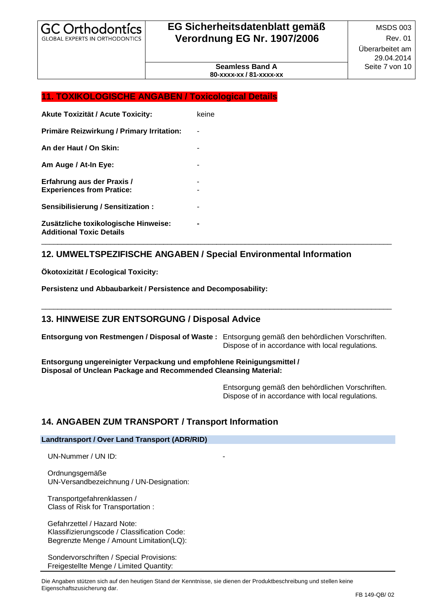**Seamless Band A 80-xxxx-xx / 81-xxxx-xx**

#### **11. TOXIKOLOGISCHE ANGABEN / Toxicological Details**

| <b>Akute Toxizität / Acute Toxicity:</b>                                | keine |
|-------------------------------------------------------------------------|-------|
| Primäre Reizwirkung / Primary Irritation:                               |       |
| An der Haut / On Skin:                                                  |       |
| Am Auge / At-In Eye:                                                    |       |
| Erfahrung aus der Praxis /<br><b>Experiences from Pratice:</b>          |       |
| Sensibilisierung / Sensitization:                                       |       |
| Zusätzliche toxikologische Hinweise:<br><b>Additional Toxic Details</b> |       |

### **12. UMWELTSPEZIFISCHE ANGABEN / Special Environmental Information**

**Ökotoxizität / Ecological Toxicity:**

**Persistenz und Abbaubarkeit / Persistence and Decomposability:**

## **13. HINWEISE ZUR ENTSORGUNG / Disposal Advice**

**Entsorgung von Restmengen / Disposal of Waste :** Entsorgung gemäß den behördlichen Vorschriften. Dispose of in accordance with local regulations.

\_\_\_\_\_\_\_\_\_\_\_\_\_\_\_\_\_\_\_\_\_\_\_\_\_\_\_\_\_\_\_\_\_\_\_\_\_\_\_\_\_\_\_\_\_\_\_\_\_\_\_\_\_\_\_\_\_\_\_\_\_\_\_\_\_\_\_\_\_\_\_\_\_\_\_\_\_\_\_\_\_\_\_\_\_\_

\_\_\_\_\_\_\_\_\_\_\_\_\_\_\_\_\_\_\_\_\_\_\_\_\_\_\_\_\_\_\_\_\_\_\_\_\_\_\_\_\_\_\_\_\_\_\_\_\_\_\_\_\_\_\_\_\_\_\_\_\_\_\_\_\_\_\_\_\_\_\_\_\_\_\_\_\_\_\_\_\_\_\_\_\_\_

**Entsorgung ungereinigter Verpackung und empfohlene Reinigungsmittel / Disposal of Unclean Package and Recommended Cleansing Material:**

> Entsorgung gemäß den behördlichen Vorschriften. Dispose of in accordance with local regulations.

### **14. ANGABEN ZUM TRANSPORT / Transport Information**

#### **Landtransport / Over Land Transport (ADR/RID)**

UN-Nummer / UN ID:

 Ordnungsgemäße UN-Versandbezeichnung / UN-Designation:

 Transportgefahrenklassen / Class of Risk for Transportation :

 Gefahrzettel / Hazard Note: Klassifizierungscode / Classification Code: Begrenzte Menge / Amount Limitation(LQ):

 Sondervorschriften / Special Provisions: Freigestellte Menge / Limited Quantity: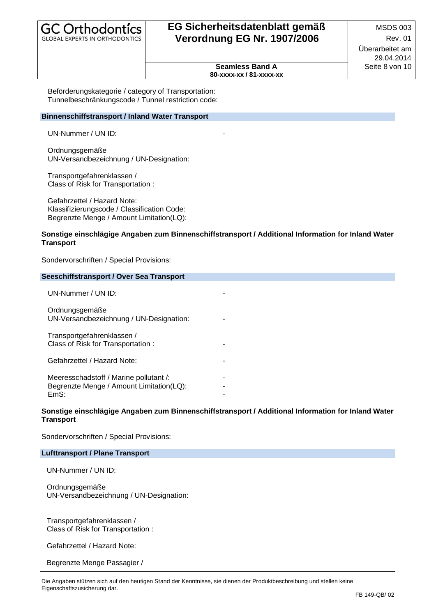| <b>GC Orthodontics</b>         |  |
|--------------------------------|--|
| GLOBAL EXPERTS IN ORTHODONTICS |  |

**Seamless Band A 80-xxxx-xx / 81-xxxx-xx**

 Beförderungskategorie / category of Transportation: Tunnelbeschränkungscode / Tunnel restriction code:

#### **Binnenschiffstransport / Inland Water Transport**

UN-Nummer / UN ID:

 Ordnungsgemäße UN-Versandbezeichnung / UN-Designation:

 Transportgefahrenklassen / Class of Risk for Transportation :

 Gefahrzettel / Hazard Note: Klassifizierungscode / Classification Code: Begrenzte Menge / Amount Limitation(LQ):

#### **Sonstige einschlägige Angaben zum Binnenschiffstransport / Additional Information for Inland Water Transport**

Sondervorschriften / Special Provisions:

| Seeschiffstransport / Over Sea Transport                                                   |  |  |
|--------------------------------------------------------------------------------------------|--|--|
| $UN-Number / UN ID:$                                                                       |  |  |
| Ordnungsgemäße<br>UN-Versandbezeichnung / UN-Designation:                                  |  |  |
| Transportgefahrenklassen /<br>Class of Risk for Transportation:                            |  |  |
| Gefahrzettel / Hazard Note:                                                                |  |  |
| Meeresschadstoff / Marine pollutant /:<br>Begrenzte Menge / Amount Limitation(LQ):<br>EmS: |  |  |

#### **Sonstige einschlägige Angaben zum Binnenschiffstransport / Additional Information for Inland Water Transport**

Sondervorschriften / Special Provisions:

#### **Lufttransport / Plane Transport**

UN-Nummer / UN ID:

 Ordnungsgemäße UN-Versandbezeichnung / UN-Designation:

 Transportgefahrenklassen / Class of Risk for Transportation :

Gefahrzettel / Hazard Note:

Begrenzte Menge Passagier /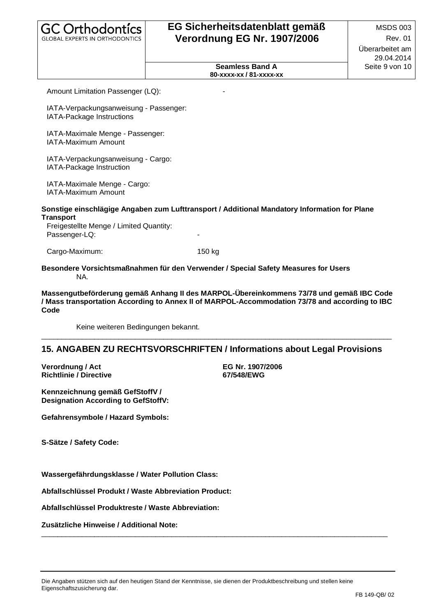| <b>GC Orthodontics</b>                |  |
|---------------------------------------|--|
| <b>GLOBAL EXPERTS IN ORTHODONTICS</b> |  |

**Seamless Band A 80-xxxx-xx / 81-xxxx-xx**

Amount Limitation Passenger (LQ):

 IATA-Verpackungsanweisung - Passenger: IATA-Package Instructions

 IATA-Maximale Menge - Passenger: IATA-Maximum Amount

 IATA-Verpackungsanweisung - Cargo: IATA-Package Instruction

 IATA-Maximale Menge - Cargo: IATA-Maximum Amount

#### **Sonstige einschlägige Angaben zum Lufttransport / Additional Mandatory Information for Plane Transport**

Freigestellte Menge / Limited Quantity: Passenger-LQ:

Cargo-Maximum: 150 kg

#### **Besondere Vorsichtsmaßnahmen für den Verwender / Special Safety Measures for Users** NA.

**Massengutbeförderung gemäß Anhang II des MARPOL-Übereinkommens 73/78 und gemäß IBC Code / Mass transportation According to Annex II of MARPOL-Accommodation 73/78 and according to IBC Code**

\_\_\_\_\_\_\_\_\_\_\_\_\_\_\_\_\_\_\_\_\_\_\_\_\_\_\_\_\_\_\_\_\_\_\_\_\_\_\_\_\_\_\_\_\_\_\_\_\_\_\_\_\_\_\_\_\_\_\_\_\_\_\_\_\_\_\_\_\_\_\_\_\_\_\_\_\_\_\_\_\_\_\_\_\_\_

Keine weiteren Bedingungen bekannt.

### **15. ANGABEN ZU RECHTSVORSCHRIFTEN / Informations about Legal Provisions**

**Verordnung / Act EG Nr. 1907/2006 Richtlinie / Directive** 

**Kennzeichnung gemäß GefStoffV / Designation According to GefStoffV:**

**Gefahrensymbole / Hazard Symbols:**

**S-Sätze / Safety Code:**

**Wassergefährdungsklasse / Water Pollution Class:**

**Abfallschlüssel Produkt / Waste Abbreviation Product:**

**Abfallschlüssel Produktreste / Waste Abbreviation:**

**Zusätzliche Hinweise / Additional Note:**

\_\_\_\_\_\_\_\_\_\_\_\_\_\_\_\_\_\_\_\_\_\_\_\_\_\_\_\_\_\_\_\_\_\_\_\_\_\_\_\_\_\_\_\_\_\_\_\_\_\_\_\_\_\_\_\_\_\_\_\_\_\_\_\_\_\_\_\_\_\_\_\_\_\_\_\_\_\_\_\_\_\_\_\_\_